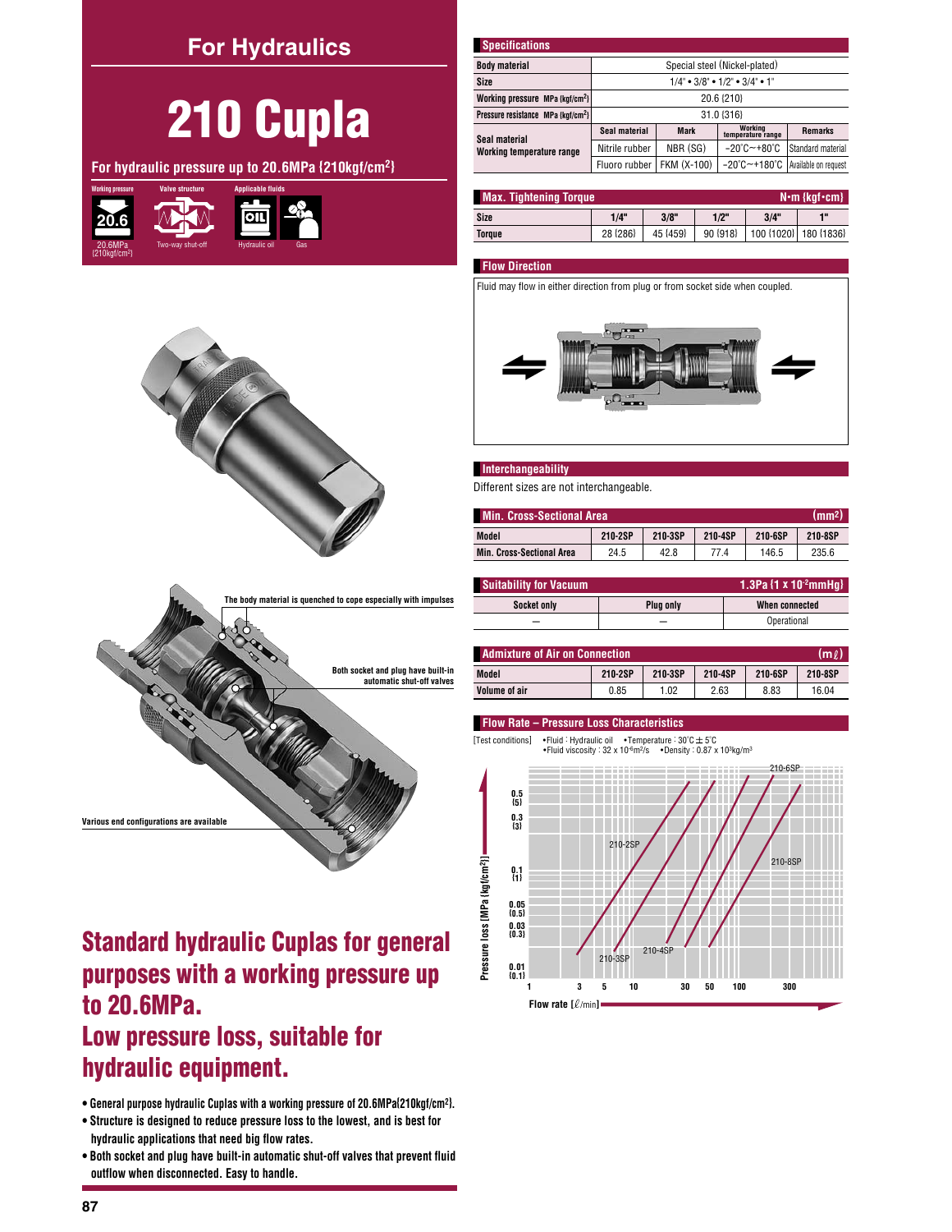# **For Hydraulics**



For hydraulic pressure up to 20.6MPa {210kgf/cm<sup>2}</sup>





| <b>Specifications</b>                          |                                                                   |                               |                                   |                      |  |  |  |  |  |
|------------------------------------------------|-------------------------------------------------------------------|-------------------------------|-----------------------------------|----------------------|--|--|--|--|--|
| <b>Body material</b>                           |                                                                   | Special steel (Nickel-plated) |                                   |                      |  |  |  |  |  |
| Size                                           | $1/4$ " $\bullet$ 3/8" $\bullet$ 1/2" $\bullet$ 3/4" $\bullet$ 1" |                               |                                   |                      |  |  |  |  |  |
| Working pressure MPa {kgf/cm <sup>2</sup> }    | 20.6 {210}                                                        |                               |                                   |                      |  |  |  |  |  |
| Pressure resistance MPa {kqf/cm <sup>2</sup> } | 31.0 {316}                                                        |                               |                                   |                      |  |  |  |  |  |
| Seal material                                  | Seal material                                                     | <b>Mark</b>                   | Working<br>temperature range      | <b>Remarks</b>       |  |  |  |  |  |
| Working temperature range                      | NBR (SG)<br>$-20^{\circ}$ C $-+80^{\circ}$ C<br>Nitrile rubber    |                               | Standard material                 |                      |  |  |  |  |  |
|                                                | Fluoro rubber                                                     | FKM (X-100)                   | $-20^{\circ}$ C $-+180^{\circ}$ C | Available on request |  |  |  |  |  |

| <b>Max. Tightening Torque</b><br>$N \cdot m$ {kgf $\cdot$ cm} |          |          |          |      |                       |  |  |  |
|---------------------------------------------------------------|----------|----------|----------|------|-----------------------|--|--|--|
| Size                                                          | 1/4"     | 3/8"     | $1/2$ "  | 3/4" | 40                    |  |  |  |
| Torque                                                        | 28 {286} | 45 {459} | 90 {918} |      | 100 {1020} 180 {1836} |  |  |  |

### **Flow Direction**

Fluid may flow in either direction from plug or from socket side when coupled.



### Interchangeability

Different sizes are not interchangeable.

| (mm <sup>2</sup> )<br><b>Min. Cross-Sectional Area</b> |         |         |         |         |         |  |  |  |
|--------------------------------------------------------|---------|---------|---------|---------|---------|--|--|--|
| Model                                                  | 210-2SP | 210-3SP | 210-4SP | 210-6SP | 210-8SP |  |  |  |
| <b>Min. Cross-Sectional Area</b>                       | 24.5    | 42.8    | 77.4    | 146.5   | 235.6   |  |  |  |

| 1.3Pa $\{1 \times 10^2 \text{mmH}\}\$<br><b>Suitability for Vacuum</b> |                  |                |  |  |  |
|------------------------------------------------------------------------|------------------|----------------|--|--|--|
| Socket only                                                            | <b>Plug only</b> | When connected |  |  |  |
| -                                                                      | _                | Operational    |  |  |  |

| <b>Admixture of Air on Connection.</b><br>lm l |         |         |         |         |         |  |  |  |  |
|------------------------------------------------|---------|---------|---------|---------|---------|--|--|--|--|
| Model                                          | 210-2SP | 210-3SP | 210-4SP | 210-6SP | 210-8SP |  |  |  |  |
| Volume of air                                  | 0.85    | 1.02    | 2.63    | 8.83    | 16.04   |  |  |  |  |

#### Flow Rate - Pressure Loss Characteristics

[Test conditions] • Fluid : Hydraulic oil • Temperature :  $30^{\circ}$ C  $\pm$  5 $^{\circ}$ C • Fluid viscosity :  $32 \times 10^{-6}$  m<sup>2</sup>/s • Density :  $0.87 \times 10^{3}$  kg/m<sup>3</sup>



# **Standard hydraulic Cuplas for general** purposes with a working pressure up to 20.6MPa.

# Low pressure loss, suitable for hydraulic equipment.

Various end configurations are availabl

- General purpose hydraulic Cuplas with a working pressure of 20.6MPa(210kgf/cm<sup>2</sup>).
- Structure is designed to reduce pressure loss to the lowest, and is best for hydraulic applications that need big flow rates.
- . Both socket and plug have built-in automatic shut-off valves that prevent fluid outflow when disconnected. Easy to handle.